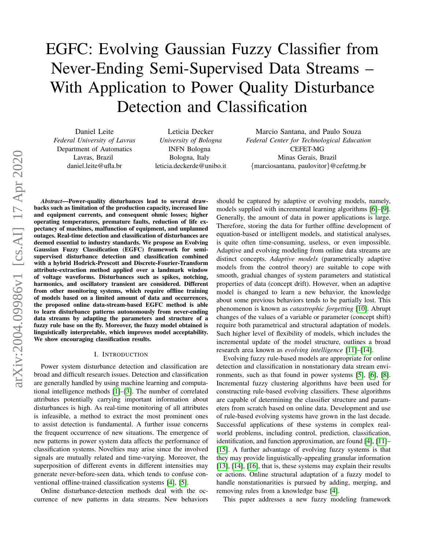# EGFC: Evolving Gaussian Fuzzy Classifier from Never-Ending Semi-Supervised Data Streams – With Application to Power Quality Disturbance Detection and Classification

Daniel Leite *Federal University of Lavras* Department of Automatics Lavras, Brazil daniel.leite@ufla.br

Leticia Decker *University of Bologna* INFN Bologna Bologna, Italy leticia.deckerde@unibo.it

Marcio Santana, and Paulo Souza *Federal Center for Technological Education* CEFET-MG Minas Gerais, Brazil {marciosantana, paulovitor}@cefetmg.br

backs such as limitation of the production capacity, increased line and equipment currents, and consequent ohmic losses; higher operating temperatures, premature faults, reduction of life expectancy of machines, malfunction of equipment, and unplanned outages. Real-time detection and classification of disturbances are deemed essential to industry standards. We propose an Evolving Gaussian Fuzzy Classification (EGFC) framework for semisupervised disturbance detection and classification combined with a hybrid Hodrick-Prescott and Discrete-Fourier-Transform attribute-extraction method applied over a landmark window of voltage waveforms. Disturbances such as spikes, notching, harmonics, and oscillatory transient are considered. Different from other monitoring systems, which require offline training of models based on a limited amount of data and occurrences, the proposed online data-stream-based EGFC method is able to learn disturbance patterns autonomously from never-ending data streams by adapting the parameters and structure of a fuzzy rule base on the fly. Moreover, the fuzzy model obtained is linguistically interpretable, which improves model acceptability. We show encouraging classification results.

*Abstract*—Power-quality disturbances lead to several draw-

#### I. INTRODUCTION

Power system disturbance detection and classification are broad and difficult research issues. Detection and classification are generally handled by using machine learning and computational intelligence methods [\[1\]](#page-7-0)–[\[3\]](#page-7-1). The number of correlated attributes potentially carrying important information about disturbances is high. As real-time monitoring of all attributes is infeasible, a method to extract the most prominent ones to assist detection is fundamental. A further issue concerns the frequent occurrence of new situations. The emergence of new patterns in power system data affects the performance of classification systems. Novelties may arise since the involved signals are mutually related and time-varying. Moreover, the superposition of different events in different intensities may generate never-before-seen data, which tends to confuse conventional offline-trained classification systems [\[4\]](#page-8-0), [\[5\]](#page-8-1).

Online disturbance-detection methods deal with the occurrence of new patterns in data streams. New behaviors

should be captured by adaptive or evolving models, namely, models supplied with incremental learning algorithms [\[6\]](#page-8-2)–[\[9\]](#page-8-3). Generally, the amount of data in power applications is large. Therefore, storing the data for further offline development of equation-based or intelligent models, and statistical analyses, is quite often time-consuming, useless, or even impossible. Adaptive and evolving modeling from online data streams are distinct concepts. *Adaptive models* (parametrically adaptive models from the control theory) are suitable to cope with smooth, gradual changes of system parameters and statistical properties of data (concept drift). However, when an adaptive model is changed to learn a new behavior, the knowledge about some previous behaviors tends to be partially lost. This phenomenon is known as *catastrophic forgetting* [\[10\]](#page-8-4). Abrupt changes of the values of a variable or parameter (concept shift) require both parametrical and structural adaptation of models. Such higher level of flexibility of models, which includes the incremental update of the model structure, outlines a broad research area known as *evolving intelligence* [\[11\]](#page-8-5)–[\[14\]](#page-8-6).

Evolving fuzzy rule-based models are appropriate for online detection and classification in nonstationary data stream environments, such as that found in power systems [\[5\]](#page-8-1), [\[6\]](#page-8-2), [\[8\]](#page-8-7). Incremental fuzzy clustering algorithms have been used for constructing rule-based evolving classifiers. These algorithms are capable of determining the classifier structure and parameters from scratch based on online data. Development and use of rule-based evolving systems have grown in the last decade. Successful applications of these systems in complex realworld problems, including control, prediction, classification, identification, and function approximation, are found [\[4\]](#page-8-0), [\[11\]](#page-8-5)– [\[15\]](#page-8-8). A further advantage of evolving fuzzy systems is that they may provide linguistically-appealing granular information [\[13\]](#page-8-9), [\[14\]](#page-8-6), [\[16\]](#page-8-10), that is, these systems may explain their results or actions. Online structural adaptation of a fuzzy model to handle nonstationarities is pursued by adding, merging, and removing rules from a knowledge base [\[4\]](#page-8-0).

This paper addresses a new fuzzy modeling framework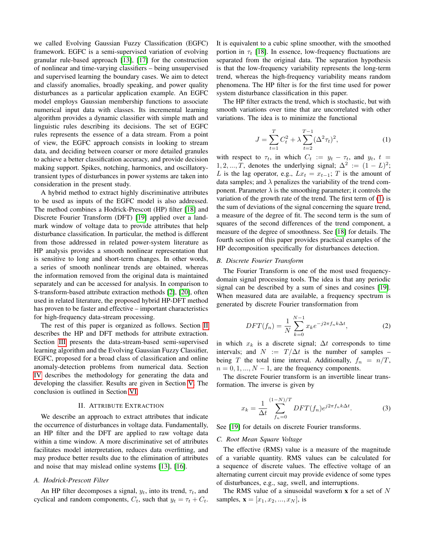we called Evolving Gaussian Fuzzy Classification (EGFC) framework. EGFC is a semi-supervised variation of evolving granular rule-based approach [\[13\]](#page-8-9), [\[17\]](#page-8-11) for the construction of nonlinear and time-varying classifiers – being unsupervised and supervised learning the boundary cases. We aim to detect and classify anomalies, broadly speaking, and power quality disturbances as a particular application example. An EGFC model employs Gaussian membership functions to associate numerical input data with classes. Its incremental learning algorithm provides a dynamic classifier with simple math and linguistic rules describing its decisions. The set of EGFC rules represents the essence of a data stream. From a point of view, the EGFC approach consists in looking to stream data, and deciding between coarser or more detailed granules to achieve a better classification accuracy, and provide decision making support. Spikes, notching, harmonics, and oscillatorytransient types of disturbances in power systems are taken into consideration in the present study.

A hybrid method to extract highly discriminative attributes to be used as inputs of the EGFC model is also addressed. The method combines a Hodrick-Prescott (HP) filter [\[18\]](#page-8-12) and Discrete Fourier Transform (DFT) [\[19\]](#page-8-13) applied over a landmark window of voltage data to provide attributes that help disturbance classification. In particular, the method is different from those addressed in related power-system literature as HP analysis provides a smooth nonlinear representation that is sensitive to long and short-term changes. In other words, a series of smooth nonlinear trends are obtained, whereas the information removed from the original data is maintained separately and can be accessed for analysis. In comparison to S-transform-based attribute extraction methods [\[2\]](#page-7-2), [\[20\]](#page-8-14), often used in related literature, the proposed hybrid HP-DFT method has proven to be faster and effective – important characteristics for high-frequency data-stream processing.

The rest of this paper is organized as follows. Section [II](#page-1-0) describes the HP and DFT methods for attribute extraction. Section [III](#page-2-0) presents the data-stream-based semi-supervised learning algorithm and the Evolving Gaussian Fuzzy Classifier, EGFC, proposed for a broad class of classification and online anomaly-detection problems from numerical data. Section [IV](#page-4-0) describes the methodology for generating the data and developing the classifier. Results are given in Section [V.](#page-6-0) The conclusion is outlined in Section [VI.](#page-7-3)

## II. ATTRIBUTE EXTRACTION

<span id="page-1-0"></span>We describe an approach to extract attributes that indicate the occurrence of disturbances in voltage data. Fundamentally, an HP filter and the DFT are applied to raw voltage data within a time window. A more discriminative set of attributes facilitates model interpretation, reduces data overfitting, and may produce better results due to the elimination of attributes and noise that may mislead online systems [\[13\]](#page-8-9), [\[16\]](#page-8-10).

## *A. Hodrick-Prescott Filter*

An HP filter decomposes a signal,  $y_t$ , into its trend,  $\tau_t$ , and cyclical and random components,  $C_t$ , such that  $y_t = \tau_t + C_t$ . It is equivalent to a cubic spline smoother, with the smoothed portion in  $\tau_t$  [\[18\]](#page-8-12). In essence, low-frequency fluctuations are separated from the original data. The separation hypothesis is that the low-frequency variability represents the long-term trend, whereas the high-frequency variability means random phenomena. The HP filter is for the first time used for power system disturbance classification in this paper.

The HP filter extracts the trend, which is stochastic, but with smooth variations over time that are uncorrelated with other variations. The idea is to minimize the functional

<span id="page-1-1"></span>
$$
J = \sum_{t=1}^{T} C_t^2 + \lambda \sum_{t=2}^{T-1} (\Delta^2 \tau_t)^2,
$$
 (1)

with respect to  $\tau_t$ , in which  $C_t := y_t - \tau_t$ , and  $y_t$ ,  $t =$ 1, 2, ..., T, denotes the underlying signal;  $\Delta^2 := (1 - L)^2$ ; L is the lag operator, e.g.,  $Lx_t = x_{t-1}$ ; T is the amount of data samples; and  $\lambda$  penalizes the variability of the trend component. Parameter  $\lambda$  is the smoothing parameter; it controls the variation of the growth rate of the trend. The first term of [\(1\)](#page-1-1) is the sum of deviations of the signal concerning the square trend, a measure of the degree of fit. The second term is the sum of squares of the second differences of the trend component, a measure of the degree of smoothness. See [\[18\]](#page-8-12) for details. The fourth section of this paper provides practical examples of the HP decomposition specifically for disturbances detection.

#### *B. Discrete Fourier Transform*

The Fourier Transform is one of the most used frequencydomain signal processing tools. The idea is that any periodic signal can be described by a sum of sines and cosines [\[19\]](#page-8-13). When measured data are available, a frequency spectrum is generated by discrete Fourier transformation from

$$
DFT(f_n) = \frac{1}{N} \sum_{k=0}^{N-1} x_k e^{-j2\pi f_n k \Delta t},
$$
 (2)

in which  $x_k$  is a discrete signal;  $\Delta t$  corresponds to time intervals; and  $N := T/\Delta t$  is the number of samples – being T the total time interval. Additionally,  $f_n = n/T$ ,  $n = 0, 1, ..., N - 1$ , are the frequency components.

The discrete Fourier transform is an invertible linear transformation. The inverse is given by

$$
x_k = \frac{1}{\Delta t} \sum_{f_n=0}^{(1-N)/T} DFT(f_n) e^{j2\pi f_n k \Delta t}.
$$
 (3)

See [\[19\]](#page-8-13) for details on discrete Fourier transforms.

## *C. Root Mean Square Voltage*

The effective (RMS) value is a measure of the magnitude of a variable quantity. RMS values can be calculated for a sequence of discrete values. The effective voltage of an alternating current circuit may provide evidence of some types of disturbances, e.g., sag, swell, and interruptions.

The RMS value of a sinusoidal waveform  $x$  for a set of  $N$ samples,  $\mathbf{x} = [x_1, x_2, ..., x_N]$ , is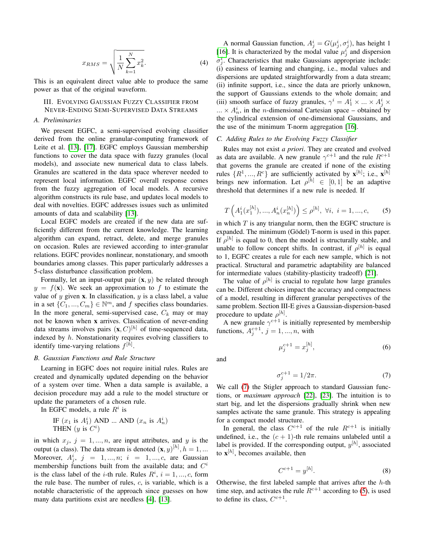$$
x_{RMS} = \sqrt{\frac{1}{N} \sum_{k=1}^{N} x_k^2}.
$$
 (4)

This is an equivalent direct value able to produce the same power as that of the original waveform.

<span id="page-2-0"></span>III. EVOLVING GAUSSIAN FUZZY CLASSIFIER FROM NEVER-ENDING SEMI-SUPERVISED DATA STREAMS

#### *A. Preliminaries*

We present EGFC, a semi-supervised evolving classifier derived from the online granular-computing framework of Leite et al. [\[13\]](#page-8-9), [\[17\]](#page-8-11). EGFC employs Gaussian membership functions to cover the data space with fuzzy granules (local models), and associate new numerical data to class labels. Granules are scattered in the data space wherever needed to represent local information. EGFC overall response comes from the fuzzy aggregation of local models. A recursive algorithm constructs its rule base, and updates local models to deal with novelties. EGFC addresses issues such as unlimited amounts of data and scalability [\[13\]](#page-8-9).

Local EGFC models are created if the new data are sufficiently different from the current knowledge. The learning algorithm can expand, retract, delete, and merge granules on occasion. Rules are reviewed according to inter-granular relations. EGFC provides nonlinear, nonstationary, and smooth boundaries among classes. This paper particularly addresses a 5-class disturbance classification problem.

Formally, let an input-output pair  $(x, y)$  be related through  $y = f(\mathbf{x})$ . We seek an approximation to f to estimate the value of  $y$  given  $x$ . In classification,  $y$  is a class label, a value in a set  $\{C_1, ..., C_m\} \in \mathbb{N}^m$ , and f specifies class boundaries. In the more general, semi-supervised case,  $C_k$  may or may not be known when x arrives. Classification of never-ending data streams involves pairs  $(\mathbf{x}, C)^{[h]}$  of time-sequenced data, indexed by  $h$ . Nonstationarity requires evolving classifiers to identify time-varying relations  $f^{[h]}$ .

# *B. Gaussian Functions and Rule Structure*

Learning in EGFC does not require initial rules. Rules are created and dynamically updated depending on the behavior of a system over time. When a data sample is available, a decision procedure may add a rule to the model structure or update the parameters of a chosen rule.

In EGFC models, a rule  $R^i$  is

IF 
$$
(x_1 \text{ is } A_1^i)
$$
 AND ... AND  $(x_n \text{ is } A_n^i)$   
THEN  $(y \text{ is } C^i)$ 

in which  $x_j$ ,  $j = 1, ..., n$ , are input attributes, and y is the output (a class). The data stream is denoted  $(\mathbf{x}, y)^{[h]}$ ,  $h = 1, ...$ Moreover,  $A_j^i$ ,  $j = 1, ..., n; i = 1, ..., c$ , are Gaussian membership functions built from the available data; and  $C^i$ is the class label of the *i*-th rule. Rules  $R^i$ ,  $i = 1, ..., c$ , form the rule base. The number of rules,  $c$ , is variable, which is a notable characteristic of the approach since guesses on how many data partitions exist are needless [\[4\]](#page-8-0), [\[13\]](#page-8-9).

A normal Gaussian function,  $A_j^i = G(\mu_j^i, \sigma_j^i)$ , has height 1 [\[16\]](#page-8-10). It is characterized by the modal value  $\mu_j^i$  and dispersion  $\sigma_j^i$ . Characteristics that make Gaussians appropriate include: (i) easiness of learning and changing, i.e., modal values and dispersions are updated straightforwardly from a data stream; (ii) infinite support, i.e., since the data are priorly unknown, the support of Gaussians extends to the whole domain; and (iii) smooth surface of fuzzy granules,  $\gamma^i = A_1^i \times ... \times A_j^i \times$  $... \times A_n^i$ , in the *n*-dimensional Cartesian space – obtained by the cylindrical extension of one-dimensional Gaussians, and the use of the minimum T-norm aggregation [\[16\]](#page-8-10).

## *C. Adding Rules to the Evolving Fuzzy Classifier*

Rules may not exist *a priori*. They are created and evolved as data are available. A new granule  $\gamma^{c+1}$  and the rule  $R^{c+1}$ that governs the granule are created if none of the existing rules  $\{R^1, ..., R^c\}$  are sufficiently activated by  $\mathbf{x}^{[h]}$ ; i.e.,  $\mathbf{x}^{[h]}$ brings new information. Let  $\rho^{[h]} \in [0,1]$  be an adaptive threshold that determines if a new rule is needed. If

<span id="page-2-2"></span>
$$
T\left(A_1^i(x_1^{[h]}),...,A_n^i(x_n^{[h]})\right) \le \rho^{[h]}, \ \forall i, \ i = 1,...,c,
$$
 (5)

in which  $T$  is any triangular norm, then the EGFC structure is expanded. The minimum (Gödel) T-norm is used in this paper. If  $\rho^{[h]}$  is equal to 0, then the model is structurally stable, and unable to follow concept shifts. In contrast, if  $\rho^{[h]}$  is equal to 1, EGFC creates a rule for each new sample, which is not practical. Structural and parametric adaptability are balanced for intermediate values (stability-plasticity tradeoff) [\[21\]](#page-8-15).

The value of  $\rho^{[h]}$  is crucial to regulate how large granules can be. Different choices impact the accuracy and compactness of a model, resulting in different granular perspectives of the same problem. Section III-E gives a Gaussian-dispersion-based procedure to update  $\rho^{[h]}$ .

A new granule  $\gamma^{c+1}$  is initially represented by membership functions,  $A_j^{c+1}$ ,  $j = 1, ..., n$ , with

<span id="page-2-3"></span>
$$
\mu_j^{c+1} = x_j^{[h]},\tag{6}
$$

and

<span id="page-2-1"></span>
$$
\sigma_j^{c+1} = 1/2\pi. \tag{7}
$$

We call [\(7\)](#page-2-1) the Stigler approach to standard Gaussian functions, or *maximum approach* [\[22\]](#page-8-16), [\[23\]](#page-8-17). The intuition is to start big, and let the dispersions gradually shrink when new samples activate the same granule. This strategy is appealing for a compact model structure.

In general, the class  $C^{c+1}$  of the rule  $R^{c+1}$  is initially undefined, i.e., the  $(c + 1)$ -th rule remains unlabeled until a label is provided. If the corresponding output,  $y^{[h]}$ , associated to  $\mathbf{x}^{[h]}$ , becomes available, then

<span id="page-2-4"></span>
$$
C^{c+1} = y^{[h]}.\t\t(8)
$$

Otherwise, the first labeled sample that arrives after the  $h$ -th time step, and activates the rule  $R^{c+1}$  according to [\(5\)](#page-2-2), is used to define its class,  $C^{c+1}$ .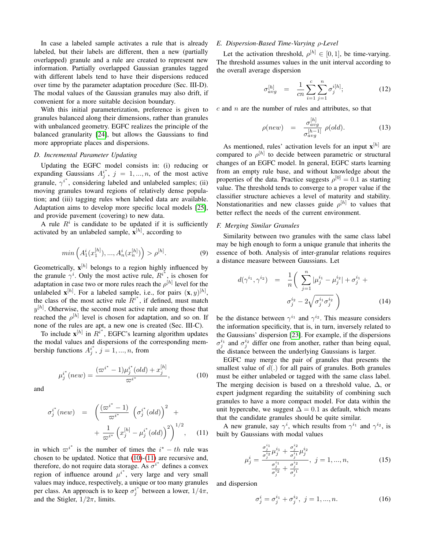In case a labeled sample activates a rule that is already labeled, but their labels are different, then a new (partially overlapped) granule and a rule are created to represent new information. Partially overlapped Gaussian granules tagged with different labels tend to have their dispersions reduced over time by the parameter adaptation procedure (Sec. III-D). The modal values of the Gaussian granules may also drift, if convenient for a more suitable decision boundary.

With this initial parameterization, preference is given to granules balanced along their dimensions, rather than granules with unbalanced geometry. EGFC realizes the principle of the balanced granularity [\[24\]](#page-9-0), but allows the Gaussians to find more appropriate places and dispersions.

## *D. Incremental Parameter Updating*

Updating the EGFC model consists in: (i) reducing or expanding Gaussians  $A_j^{i^*}, j = 1, ..., n$ , of the most active granule,  $\gamma^{i^*}$ , considering labeled and unlabeled samples; (ii) moving granules toward regions of relatively dense population; and (iii) tagging rules when labeled data are available. Adaptation aims to develop more specific local models [\[25\]](#page-9-1), and provide pavement (covering) to new data.

A rule  $R<sup>i</sup>$  is candidate to be updated if it is sufficiently activated by an unlabeled sample,  $\mathbf{x}^{[h]}$ , according to

$$
min\left(A_1^i(x_1^{[h]}),...,A_n^i(x_n^{[h]})\right) > \rho^{[h]}.
$$
\n(9)

Geometrically,  $\mathbf{x}^{[h]}$  belongs to a region highly influenced by the granule  $\gamma^{i}$ . Only the most active rule,  $R^{i^{*}}$ , is chosen for adaptation in case two or more rules reach the  $\rho^{[h]}$  level for the unlabeled  $\mathbf{x}^{[h]}$ . For a labeled sample, i.e., for pairs  $(\mathbf{x}, y)^{[h]}$ , the class of the most active rule  $R^{i^*}$ , if defined, must match  $y^{[h]}$ . Otherwise, the second most active rule among those that reached the  $\rho^{[h]}$  level is chosen for adaptation, and so on. If none of the rules are apt, a new one is created (Sec. III-C).

To include  $\mathbf{x}^{[h]}$  in  $R^{i*}$ , EGFC's learning algorithm updates the modal values and dispersions of the corresponding membership functions  $A_j^{i^*}$ ,  $j = 1, ..., n$ , from

<span id="page-3-0"></span>
$$
\mu_j^{i^*}(new) = \frac{(\varpi^{i^*} - 1)\mu_j^{i^*}(old) + x_j^{[h]}}{\varpi^{i^*}},
$$
\n(10)

and

<span id="page-3-1"></span>
$$
\sigma_j^{i^*}(new) = \left(\frac{(\varpi^{i^*} - 1)}{\varpi^{i^*}} \left(\sigma_j^{i^*}(old)\right)^2 + \right. \\
 \left. + \frac{1}{\varpi^{i^*}} \left(x_j^{[h]} - \mu_j^{i^*}(old)\right)^2\right)^{1/2}, \quad (11)
$$

in which  $\varpi^{i^*}$  is the number of times the  $i^* - th$  rule was chosen to be updated. Notice that [\(10\)](#page-3-0)-[\(11\)](#page-3-1) are recursive and, therefore, do not require data storage. As  $\sigma^{i^*}$  defines a convex region of influence around  $\mu^{i^*}$ , very large and very small values may induce, respectively, a unique or too many granules per class. An approach is to keep  $\sigma_j^{i^*}$  between a lower,  $1/4\pi$ , and the Stigler,  $1/2\pi$ , limits.

# *E. Dispersion-Based Time-Varying* ρ*-Level*

Let the activation threshold,  $\rho^{[h]} \in [0,1]$ , be time-varying. The threshold assumes values in the unit interval according to the overall average dispersion

<span id="page-3-2"></span>
$$
\sigma_{avg}^{[h]} = \frac{1}{cn} \sum_{i=1}^{c} \sum_{j=1}^{n} \sigma_j^{i[h]};
$$
\n(12)

 $c$  and  $n$  are the number of rules and attributes, so that

<span id="page-3-3"></span>
$$
\rho(new) = \frac{\sigma_{avg}^{[h]}}{\sigma_{avg}^{[h-1]}} \rho(old). \tag{13}
$$

As mentioned, rules' activation levels for an input  $\mathbf{x}^{[h]}$  are compared to  $\rho^{[h]}$  to decide between parametric or structural changes of an EGFC model. In general, EGFC starts learning from an empty rule base, and without knowledge about the properties of the data. Practice suggests  $\rho^{[0]} = 0.1$  as starting value. The threshold tends to converge to a proper value if the classifier structure achieves a level of maturity and stability. Nonstationarities and new classes guide  $\rho^{[h]}$  to values that better reflect the needs of the current environment.

## *F. Merging Similar Granules*

Similarity between two granules with the same class label may be high enough to form a unique granule that inherits the essence of both. Analysis of inter-granular relations requires a distance measure between Gaussians. Let

<span id="page-3-4"></span>
$$
d(\gamma^{i_1}, \gamma^{i_2}) = \frac{1}{n} \left( \sum_{j=1}^n |\mu_j^{i_1} - \mu_j^{i_2}| + \sigma_j^{i_1} + \sigma_j^{i_2} + \sigma_j^{i_2} - 2\sqrt{\sigma_j^{i_1} \sigma_j^{i_2}} \right)
$$
(14)

be the distance between  $\gamma^{i_1}$  and  $\gamma^{i_2}$ . This measure considers the information specificity, that is, in turn, inversely related to the Gaussians' dispersion [\[23\]](#page-8-17). For example, if the dispersions  $\sigma_j^{i_1}$  and  $\sigma_j^{i_2}$  differ one from another, rather than being equal, the distance between the underlying Gaussians is larger.

EGFC may merge the pair of granules that presents the smallest value of  $d(.)$  for all pairs of granules. Both granules must be either unlabeled or tagged with the same class label. The merging decision is based on a threshold value,  $\Delta$ , or expert judgment regarding the suitability of combining such granules to have a more compact model. For data within the unit hypercube, we suggest  $\Delta = 0.1$  as default, which means that the candidate granules should be quite similar.

A new granule, say  $\gamma^i$ , which results from  $\gamma^{i_1}$  and  $\gamma^{i_2}$ , is built by Gaussians with modal values

$$
\mu_j^i = \frac{\frac{\sigma_j^{i_1}}{\sigma_j^{i_2}} \mu_j^{i_1} + \frac{\sigma_j^{i_2}}{\sigma_j^{i_1}} \mu_j^{i_2}}{\frac{\sigma_j^{i_1}}{\sigma_j^{i_2}} + \frac{\sigma_j^{i_2}}{\sigma_j^{i_1}}}, \ j = 1, ..., n,
$$
\n(15)

and dispersion

<span id="page-3-5"></span>
$$
\sigma_j^i = \sigma_j^{i_1} + \sigma_j^{i_2}, \ j = 1, ..., n. \tag{16}
$$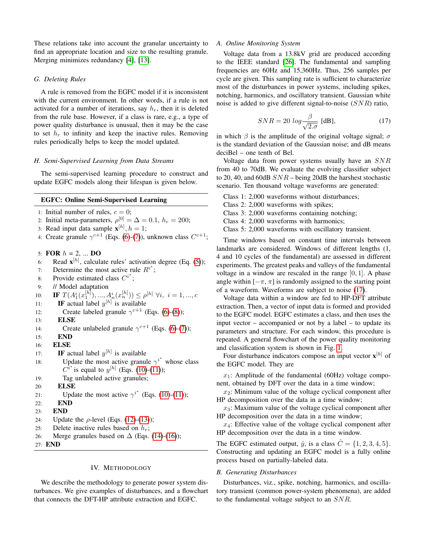These relations take into account the granular uncertainty to find an appropriate location and size to the resulting granule. Merging minimizes redundancy [\[4\]](#page-8-0), [\[13\]](#page-8-9).

# *G. Deleting Rules*

A rule is removed from the EGFC model if it is inconsistent with the current environment. In other words, if a rule is not activated for a number of iterations, say  $h_r$ , then it is deleted from the rule base. However, if a class is rare, e.g., a type of power quality disturbance is unusual, then it may be the case to set  $h_r$  to infinity and keep the inactive rules. Removing rules periodically helps to keep the model updated.

## *H. Semi-Supervised Learning from Data Streams*

The semi-supervised learning procedure to construct and update EGFC models along their lifespan is given below.

# EGFC: Online Semi-Supervised Learning

- 1: Initial number of rules,  $c = 0$ ;
- 2: Initial meta-parameters,  $\rho^{[0]} = \Delta = 0.1$ ,  $h_r = 200$ ;
- 3: Read input data sample  $\mathbf{x}^{[h]}$ ,  $h = 1$ ;
- 4: Create granule  $\gamma^{c+1}$  (Eqs. [\(6\)](#page-2-3)-[\(7\)](#page-2-1)), unknown class  $C^{c+1}$ ;

5: **FOR**  $h = 2, ...$  **DO** 

- 6: Read  $\mathbf{x}^{[h]}$ , calculate rules' activation degree (Eq. [\(5\)](#page-2-2));
- 7: Determine the most active rule  $R^{i^*}$ ;
- 8: Provide estimated class  $C^{i^*}$ ;
- 9: // Model adaptation
- 10: **IF**  $T(A_1^i(x_1^{[h]}),...,A_n^i(x_n^{[h]})) \leq \rho^{[h]}$   $\forall i, i = 1,...,c$
- 11: **IF** actual label  $y^{[h]}$  is available
- 12: Create labeled granule  $\gamma^{c+1}$  (Eqs. [\(6\)](#page-2-3)-[\(8\)](#page-2-4));
- 13: ELSE
- 14: Create unlabeled granule  $\gamma^{c+1}$  (Eqs. [\(6\)](#page-2-3)-[\(7\)](#page-2-1));
- 15: END 16: ELSE

```
17: IF actual label y^{[h]} is available
18: Update the most active granule \gamma^{i^*} whose class
         C^{i*} is equal to y^{[h]}(10)(11));
19: Tag unlabeled active granules;
```

```
20: ELSE
```
21: Update the most active  $\gamma^{i^*}$  (Eqs. [\(10\)](#page-3-0)-[\(11\)](#page-3-1));

- 22: END
- 23: END
- 24: Update the  $\rho$ -level (Eqs. [\(12\)](#page-3-2)-[\(13\)](#page-3-3));
- 25: Delete inactive rules based on  $h_r$ ;
- 26: Merge granules based on  $\Delta$  (Eqs. [\(14\)](#page-3-4)-[\(16\)](#page-3-5));
- <span id="page-4-0"></span>27: END

# IV. METHODOLOGY

We describe the methodology to generate power system disturbances. We give examples of disturbances, and a flowchart that connects the DFT-HP attribute extraction and EGFC.

#### *A. Online Monitoring System*

Voltage data from a 13.8kV grid are produced according to the IEEE standard [\[26\]](#page-9-2). The fundamental and sampling frequencies are 60Hz and 15,360Hz. Thus, 256 samples per cycle are given. This sampling rate is sufficient to characterize most of the disturbances in power systems, including spikes, notching, harmonics, and oscillatory transient. Gaussian white noise is added to give different signal-to-noise (SNR) ratio,

<span id="page-4-1"></span>
$$
SNR = 20 \log \frac{\beta}{\sqrt{2 \cdot \sigma}} \text{ [dB]},\tag{17}
$$

in which  $\beta$  is the amplitude of the original voltage signal;  $\sigma$ is the standard deviation of the Gaussian noise; and dB means deciBel – one tenth of Bel.

Voltage data from power systems usually have an  $SNR$ from 40 to 70dB. We evaluate the evolving classifier subject to 20, 40, and 60dB  $SNR$  – being 20dB the harshest stochastic scenario. Ten thousand voltage waveforms are generated:

- Class 1: 2,000 waveforms without disturbances;
- Class 2: 2,000 waveforms with spikes;
- Class 3: 2,000 waveforms containing notching;
- Class 4: 2,000 waveforms with harmonics;
- Class 5: 2,000 waveforms with oscillatory transient.

Time windows based on constant time intervals between landmarks are considered. Windows of different lengths (1, 4 and 10 cycles of the fundamental) are assessed in different experiments. The greatest peaks and valleys of the fundamental voltage in a window are rescaled in the range  $[0, 1]$ . A phase angle within  $[-\pi, \pi]$  is randomly assigned to the starting point of a waveform. Waveforms are subject to noise [\(17\)](#page-4-1).

Voltage data within a window are fed to HP-DFT attribute extraction. Then, a vector of input data is formed and provided to the EGFC model. EGFC estimates a class, and then uses the input vector – accompanied or not by a label – to update its parameters and structure. For each window, this procedure is repeated. A general flowchart of the power quality monitoring and classification system is shown in Fig. [1.](#page-5-0)

Four disturbance indicators compose an input vector  $\mathbf{x}^{[h]}$  of the EGFC model. They are

 $x_1$ : Amplitude of the fundamental (60Hz) voltage component, obtained by DFT over the data in a time window;

 $x_2$ : Minimum value of the voltage cyclical component after HP decomposition over the data in a time window;

 $x_3$ : Maximum value of the voltage cyclical component after HP decomposition over the data in a time window;

 $x_4$ : Effective value of the voltage cyclical component after HP decomposition over the data in a time window.

The EGFC estimated output,  $\hat{y}$ , is a class  $\hat{C} = \{1, 2, 3, 4, 5\}.$ Constructing and updating an EGFC model is a fully online process based on partially-labeled data.

## *B. Generating Disturbances*

Disturbances, viz., spike, notching, harmonics, and oscillatory transient (common power-system phenomena), are added to the fundamental voltage subject to an SNR.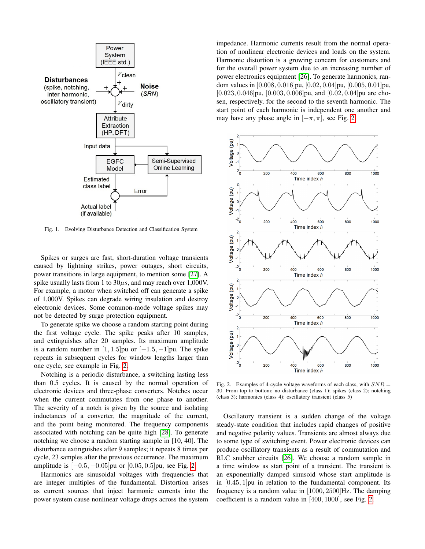

<span id="page-5-0"></span>Fig. 1. Evolving Disturbance Detection and Classification System

Spikes or surges are fast, short-duration voltage transients caused by lightning strikes, power outages, short circuits, power transitions in large equipment, to mention some [\[27\]](#page-9-3). A spike usually lasts from 1 to  $30\mu s$ , and may reach over 1,000V. For example, a motor when switched off can generate a spike of 1,000V. Spikes can degrade wiring insulation and destroy electronic devices. Some common-mode voltage spikes may not be detected by surge protection equipment.

To generate spike we choose a random starting point during the first voltage cycle. The spike peaks after 10 samples, and extinguishes after 20 samples. Its maximum amplitude is a random number in  $[1, 1.5]$  pu or  $[-1.5, -1]$  pu. The spike repeats in subsequent cycles for window lengths larger than one cycle, see example in Fig. [2.](#page-5-1)

Notching is a periodic disturbance, a switching lasting less than 0.5 cycles. It is caused by the normal operation of electronic devices and three-phase converters. Notches occur when the current commutates from one phase to another. The severity of a notch is given by the source and isolating inductances of a converter, the magnitude of the current, and the point being monitored. The frequency components associated with notching can be quite high [\[28\]](#page-9-4). To generate notching we choose a random starting sample in [10, 40]. The disturbance extinguishes after 9 samples; it repeats 8 times per cycle, 23 samples after the previous occurrence. The maximum amplitude is  $[-0.5, -0.05]$ pu or  $[0.05, 0.5]$ pu, see Fig. [2.](#page-5-1)

Harmonics are sinusoidal voltages with frequencies that are integer multiples of the fundamental. Distortion arises as current sources that inject harmonic currents into the power system cause nonlinear voltage drops across the system impedance. Harmonic currents result from the normal operation of nonlinear electronic devices and loads on the system. Harmonic distortion is a growing concern for customers and for the overall power system due to an increasing number of power electronics equipment [\[26\]](#page-9-2). To generate harmonics, random values in [0.008, 0.016]pu, [0.02, 0.04]pu, [0.005, 0.01]pu, [0.023, 0.046]pu, [0.003, 0.006]pu, and [0.02, 0.04]pu are chosen, respectively, for the second to the seventh harmonic. The start point of each harmonic is independent one another and may have any phase angle in  $[-\pi, \pi]$ , see Fig. [2.](#page-5-1)



<span id="page-5-1"></span>Fig. 2. Examples of 4-cycle voltage waveforms of each class, with  $SNR =$ 30. From top to bottom: no disturbance (class 1); spikes (class 2); notching (class 3); harmonics (class 4); oscillatory transient (class 5)

Oscillatory transient is a sudden change of the voltage steady-state condition that includes rapid changes of positive and negative polarity values. Transients are almost always due to some type of switching event. Power electronic devices can produce oscillatory transients as a result of commutation and RLC snubber circuits [\[26\]](#page-9-2). We choose a random sample in a time window as start point of a transient. The transient is an exponentially damped sinusoid whose start amplitude is in [0.45, 1]pu in relation to the fundamental component. Its frequency is a random value in [1000, 2500]Hz. The damping coefficient is a random value in [400, 1000], see Fig. [2.](#page-5-1)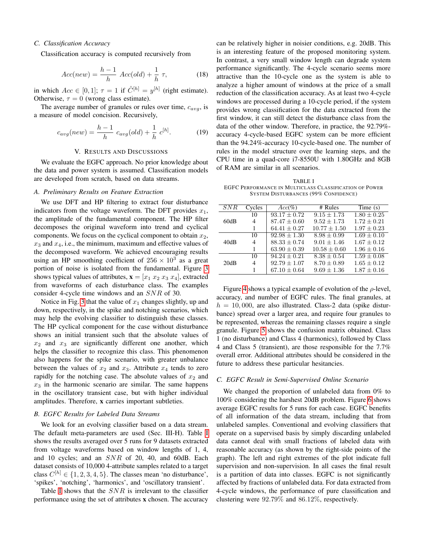## *C. Classification Accuracy*

Classification accuracy is computed recursively from

$$
Acc(new) = \frac{h-1}{h} \; Acc(old) + \frac{1}{h} \; \tau,\tag{18}
$$

in which  $Acc \in [0, 1]$ ;  $\tau = 1$  if  $\hat{C}^{[h]} = y^{[h]}$  (right estimate). Otherwise,  $\tau = 0$  (wrong class estimate).

The average number of granules or rules over time,  $c_{avg}$ , is a measure of model concision. Recursively,

$$
c_{avg}(new) = \frac{h-1}{h} c_{avg}(old) + \frac{1}{h} c^{[h]}.
$$
 (19)

## V. RESULTS AND DISCUSSIONS

<span id="page-6-0"></span>We evaluate the EGFC approach. No prior knowledge about the data and power system is assumed. Classification models are developed from scratch, based on data streams.

#### *A. Preliminary Results on Feature Extraction*

We use DFT and HP filtering to extract four disturbance indicators from the voltage waveform. The DFT provides  $x_1$ , the amplitude of the fundamental component. The HP filter decomposes the original waveform into trend and cyclical components. We focus on the cyclical component to obtain  $x_2$ ,  $x_3$  and  $x_4$ , i.e., the minimum, maximum and effective values of the decomposed waveform. We achieved encouraging results using an HP smoothing coefficient of  $256 \times 10^3$  as a great portion of noise is isolated from the fundamental. Figure [3](#page-7-4) shows typical values of attributes,  $\mathbf{x} = [x_1 \ x_2 \ x_3 \ x_4]$ , extracted from waveforms of each disturbance class. The examples consider 4-cycle time windows and an SNR of 30.

Notice in Fig. [3](#page-7-4) that the value of  $x_1$  changes slightly, up and down, respectively, in the spike and notching scenarios, which may help the evolving classifier to distinguish these classes. The HP cyclical component for the case without disturbance shows an initial transient such that the absolute values of  $x_2$  and  $x_3$  are significantly different one another, which helps the classifier to recognize this class. This phenomenon also happens for the spike scenario, with greater unbalance between the values of  $x_2$  and  $x_3$ . Attribute  $x_4$  tends to zero rapidly for the notching case. The absolute values of  $x_2$  and  $x_3$  in the harmonic scenario are similar. The same happens in the oscillatory transient case, but with higher individual amplitudes. Therefore, x carries important subtleties.

#### *B. EGFC Results for Labeled Data Streams*

We look for an evolving classifier based on a data stream. The default meta-parameters are used (Sec. III-H). Table [I](#page-6-1) shows the results averaged over 5 runs for 9 datasets extracted from voltage waveforms based on window lengths of 1, 4, and 10 cycles; and an SNR of 20, 40, and 60dB. Each dataset consists of 10,000 4-attribute samples related to a target class  $C^{[h]} \in \{1, 2, 3, 4, 5\}$ . The classes mean 'no disturbance', 'spikes', 'notching', 'harmonics', and 'oscillatory transient'.

Table [I](#page-6-1) shows that the  $SNR$  is irrelevant to the classifier performance using the set of attributes x chosen. The accuracy

can be relatively higher in noisier conditions, e.g. 20dB. This is an interesting feature of the proposed monitoring system. In contrast, a very small window length can degrade system performance significantly. The 4-cycle scenario seems more attractive than the 10-cycle one as the system is able to analyze a higher amount of windows at the price of a small reduction of the classification accuracy. As at least two 4-cycle windows are processed during a 10-cycle period, if the system provides wrong classification for the data extracted from the first window, it can still detect the disturbance class from the data of the other window. Therefore, in practice, the 92.79% accuracy 4-cycle-based EGFC system can be more efficient than the 94.24%-accuracy 10-cycle-based one. The number of rules in the model structure over the learning steps, and the CPU time in a quad-core i7-8550U with 1.80GHz and 8GB of RAM are similar in all scenarios.

<span id="page-6-1"></span>TABLE I EGFC PERFORMANCE IN MULTICLASS CLASSIFICATION OF POWER SYSTEM DISTURBANCES (99% CONFIDENCE)

| SNR  | Cycles | $Acc(\%)$        | # Rules         | Time $(s)$      |  |
|------|--------|------------------|-----------------|-----------------|--|
| 60dB | 10     | $93.17 \pm 0.72$ | $9.15 + 1.73$   | $1.80 \pm 0.25$ |  |
|      | 4      | $87.47 \pm 0.60$ | $9.52 + 1.73$   | $1.72 \pm 0.21$ |  |
|      | 1      | $64.41 + 0.27$   | $10.77 + 1.50$  | $1.97 \pm 0.23$ |  |
| 40dB | 10     | $92.98 + 1.30$   | $8.98 + 0.99$   | $1.69 + 0.10$   |  |
|      | 4      | $88.33 \pm 0.74$ | $9.01 + 1.46$   | $1.67 + 0.12$   |  |
|      |        | $63.90 \pm 0.39$ | $10.58 + 0.60$  | $1.96 \pm 0.16$ |  |
| 20dB | 10     | $94.24 + 0.21$   | $8.38 + 0.54$   | $1.59 + 0.08$   |  |
|      | 4      | $92.79 + 1.07$   | $8.70 \pm 0.89$ | $1.65 \pm 0.12$ |  |
|      |        | $67.10 \pm 0.64$ | $9.69 + 1.36$   | $1.87 + 0.16$   |  |

Figure [4](#page-8-18) shows a typical example of evolution of the  $\rho$ -level, accuracy, and number of EGFC rules. The final granules, at  $h = 10,000$ , are also illustrated. Class-2 data (spike disturbance) spread over a larger area, and require four granules to be represented, whereas the remaining classes require a single granule. Figure [5](#page-8-19) shows the confusion matrix obtained. Class 1 (no disturbance) and Class 4 (harmonics), followed by Class 4 and Class 5 (transient), are those responsible for the 7.7% overall error. Additional attributes should be considered in the future to address these particular hesitancies.

# *C. EGFC Result in Semi-Supervised Online Scenario*

We changed the proportion of unlabeled data from 0% to 100% considering the harshest 20dB problem. Figure [6](#page-8-20) shows average EGFC results for 5 runs for each case. EGFC benefits of all information of the data stream, including that from unlabeled samples. Conventional and evolving classifiers that operate on a supervised basis by simply discarding unlabeled data cannot deal with small fractions of labeled data with reasonable accuracy (as shown by the right-side points of the graph). The left and right extremes of the plot indicate full supervision and non-supervision. In all cases the final result is a partition of data into classes. EGFC is not significantly affected by fractions of unlabeled data. For data extracted from 4-cycle windows, the performance of pure classification and clustering were 92.79% and 86.12%, respectively.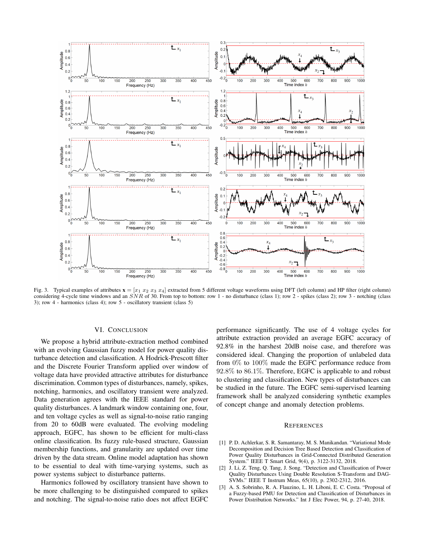

<span id="page-7-4"></span>Fig. 3. Typical examples of attributes  $\mathbf{x} = [x_1 \ x_2 \ x_3 \ x_4]$  extracted from 5 different voltage waveforms using DFT (left column) and HP filter (right column) considering 4-cycle time windows and an  $\overline{SNR}$  of 30. From top to bottom: row 1 - no disturbance (class 1); row 2 - spikes (class 2); row 3 - notching (class 3); row 4 - harmonics (class 4); row 5 - oscillatory transient (class 5)

## VI. CONCLUSION

<span id="page-7-3"></span>We propose a hybrid attribute-extraction method combined with an evolving Gaussian fuzzy model for power quality disturbance detection and classification. A Hodrick-Prescott filter and the Discrete Fourier Transform applied over window of voltage data have provided attractive attributes for disturbance discrimination. Common types of disturbances, namely, spikes, notching, harmonics, and oscillatory transient were analyzed. Data generation agrees with the IEEE standard for power quality disturbances. A landmark window containing one, four, and ten voltage cycles as well as signal-to-noise ratio ranging from 20 to 60dB were evaluated. The evolving modeling approach, EGFC, has shown to be efficient for multi-class online classification. Its fuzzy rule-based structure, Gaussian membership functions, and granularity are updated over time driven by the data stream. Online model adaptation has shown to be essential to deal with time-varying systems, such as power systems subject to disturbance patterns.

Harmonics followed by oscillatory transient have shown to be more challenging to be distinguished compared to spikes and notching. The signal-to-noise ratio does not affect EGFC performance significantly. The use of 4 voltage cycles for attribute extraction provided an average EGFC accuracy of 92.8% in the harshest 20dB noise case, and therefore was considered ideal. Changing the proportion of unlabeled data from 0% to 100% made the EGFC performance reduce from 92.8% to 86.1%. Therefore, EGFC is applicable to and robust to clustering and classification. New types of disturbances can be studied in the future. The EGFC semi-supervised learning framework shall be analyzed considering synthetic examples of concept change and anomaly detection problems.

#### **REFERENCES**

- <span id="page-7-0"></span>[1] P. D. Achlerkar, S. R. Samantaray, M. S. Manikandan. "Variational Mode Decomposition and Decision Tree Based Detection and Classification of Power Quality Disturbances in Grid-Connected Distributed Generation System." IEEE T Smart Grid, 9(4), p. 3122-3132, 2018.
- <span id="page-7-2"></span>[2] J. Li, Z. Teng, Q. Tang, J. Song. "Detection and Classification of Power Quality Disturbances Using Double Resolution S-Transform and DAG-SVMs." IEEE T Instrum Meas, 65(10), p. 2302-2312, 2016.
- <span id="page-7-1"></span>[3] A. S. Sobrinho, R. A. Flauzino, L. H. Liboni, E. C. Costa. "Proposal of a Fuzzy-based PMU for Detection and Classification of Disturbances in Power Distribution Networks." Int J Elec Power, 94, p. 27-40, 2018.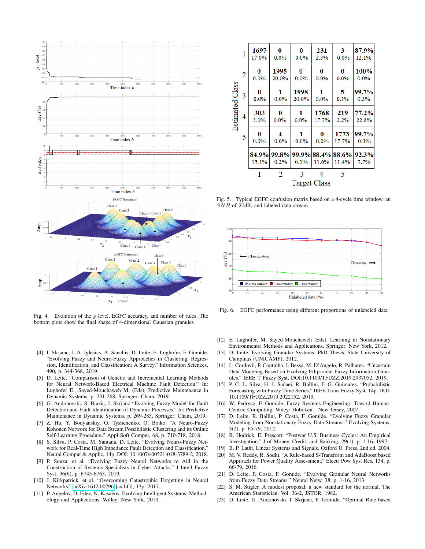

<span id="page-8-18"></span>Fig. 4. Evolution of the  $\rho$  level, EGFC accuracy, and number of rules. The bottom plots show the final shape of 4-dimensional Gaussian granules

- <span id="page-8-0"></span>[4] I. Skrjanc, J. A. Iglesias, A. Sanchis, D. Leite, E. Lughofer, F. Gomide. "Evolving Fuzzy and Neuro-Fuzzy Approaches in Clustering, Regression, Identification, and Classification: A Survey." Information Sciences, 490, p. 344-368, 2019.
- <span id="page-8-1"></span>[5] D. Leite. "Comparison of Genetic and Incremental Learning Methods for Neural Network-Based Electrical Machine Fault Detection." In: Lughofer E., Sayed-Mouchaweh M. (Eds), Predictive Maintenance in Dynamic Systems, p. 231-268, Springer: Cham, 2019.
- <span id="page-8-2"></span>[6] G. Andonovski, S. Blazic, I. Skrjanc "Evolving Fuzzy Model for Fault Detection and Fault Identification of Dynamic Processes." In: Predictive Maintenance in Dynamic Systems, p. 269-285, Springer: Cham, 2019.
- [7] Z. Hu, Y. Bodyanskiy, O. Tyshchenko, O. Boiko. "A Neuro-Fuzzy Kohonen Network for Data Stream Possibilistic Clustering and its Online Self-Learning Procedure." Appl Soft Comput, 68, p. 710-718, 2018.
- <span id="page-8-7"></span>[8] S. Silva, P. Costa, M. Santana, D. Leite. "Evolving Neuro-Fuzzy Network for Real-Time High Impedance Fault Detection and Classification." Neural Comput & Applic, 14p. DOI: 10.1007/s00521-018-3789-2, 2018.
- <span id="page-8-3"></span>[9] P. Souza, et al. "Evolving Fuzzy Neural Networks to Aid in the Construction of Systems Specialists in Cyber Attacks." J Intell Fuzzy Syst, 36(6), p. 6743-6763, 2019.
- <span id="page-8-4"></span>[10] J. Kirkpatrick, et al. "Overcoming Catastrophic Forgetting in Neural Networks." [arXiv:1612.00796](http://arxiv.org/abs/1612.00796) [cs.LG], 13p. 2017.
- <span id="page-8-5"></span>[11] P. Angelov, D. Filev, N. Kasabov. Evolving Intelligent Systems: Methodology and Applications. Willey: New York, 2010.

| Estimated Class | 1              | 1697<br>17.0%       | 0<br>0.0%                             | 0<br>0.0%     | 231<br>2.3%   | 3<br>0.0%     | 87.9%<br>12.1% |  |  |
|-----------------|----------------|---------------------|---------------------------------------|---------------|---------------|---------------|----------------|--|--|
|                 | $\overline{2}$ | 0<br>0.0%           | 1995<br>20.0%                         | 0<br>0.0%     | 0<br>0.0%     | 0<br>0.0%     | 100%<br>0.0%   |  |  |
|                 | 3              | 0<br>0.0%           | 1<br>$0.0\%$                          | 1998<br>20.0% | 1<br>$0.0\%$  | 5<br>0.1%     | 99.7%<br>0.3%  |  |  |
|                 | 4              | 303<br>3.0%         | 0<br>0.0%                             | 1<br>0.0%     | 1768<br>17.7% | 219<br>2.2%   | 77.2%<br>22.8% |  |  |
|                 | 5              | 0<br>0.0%           | 4<br>$0.0\%$                          | 1<br>0.0%     | 0<br>0.0%     | 1773<br>17.7% | 99.7%<br>0.3%  |  |  |
|                 |                | 15.1%               | 84.9% 99.8% 99.9% 88.4% 88.6%<br>0.2% | 0.1%          | 11.6%         | 11.4%         | 92.3%<br>7.7%  |  |  |
|                 |                |                     | 2                                     | 3             |               | 5             |                |  |  |
|                 |                | <b>Target Class</b> |                                       |               |               |               |                |  |  |

<span id="page-8-19"></span>Fig. 5. Typical EGFC confusion matrix based on a 4-cycle time window, an SNR of 20dB, and labeled data stream



<span id="page-8-20"></span>Fig. 6. EGFC performance using different proportions of unlabeled data

- [12] E. Lughofer, M. Sayed-Mouchaweh (Eds). Learning in Nonstationary Environments: Methods and Applications. Springer: New York, 2012.
- <span id="page-8-9"></span>[13] D. Leite. Evolving Granular Systems. PhD Thesis, State University of Campinas (UNICAMP), 2012.
- <span id="page-8-6"></span>[14] L. Cordovil, P. Coutinho, I. Bessa, M. D'Angelo, R. Palhares. "Uncertain Data Modeling Based on Evolving Ellipsoidal Fuzzy Information Granules." IEEE T Fuzzy Syst, DOI:10.1109/TFUZZ.2019.2937052, 2019.
- <span id="page-8-8"></span>[15] P. C. L. Silva, H. J. Sadaei, R. Ballini, F. G. Guimares. "Probabilistic Forecasting with Fuzzy Time Series." IEEE Trans Fuzzy Syst, 14p. DOI: 10.1109/TFUZZ.2019.2922152, 2019.
- <span id="page-8-10"></span>[16] W. Pedrycz, F. Gomide. Fuzzy Systems Engineering: Toward Human-Centric Computing. Wiley: Hoboken - New Jersey, 2007.
- <span id="page-8-11"></span>[17] D. Leite, R. Ballini, P. Costa, F. Gomide. "Evolving Fuzzy Granular Modeling from Nonstationary Fuzzy Data Streams." Evolving Systems, 3(2), p. 65-79, 2012.
- <span id="page-8-12"></span>[18] R. Hodrick, E. Prescott. "Postwar U.S. Business Cycles: An Empirical Investigation." J of Money, Credit, and Banking, 29(1), p. 1-16, 1997.
- <span id="page-8-13"></span>[19] B. P. Lathi. Linear Systems and Signals. Oxford U. Press, 2nd ed. 2004.
- <span id="page-8-14"></span>[20] M. V. Reddy, R. Sodhi. "A Rule-based S-Transform and AdaBoost based Approach for Power Quality Assessment." Electr Pow Syst Res, 134, p. 66-79, 2016.
- <span id="page-8-15"></span>[21] D. Leite, P. Costa, F. Gomide. "Evolving Granular Neural Networks from Fuzzy Data Streams." Neural Netw, 38, p. 1-16, 2013.
- <span id="page-8-16"></span>[22] S. M. Stigler. A modest proposal: a new standard for the normal. The American Statistician, Vol. 36-2, JSTOR, 1982.
- <span id="page-8-17"></span>[23] D. Leite, G. Andonovski, I. Skrjanc, F. Gomide. "Optimal Rule-based